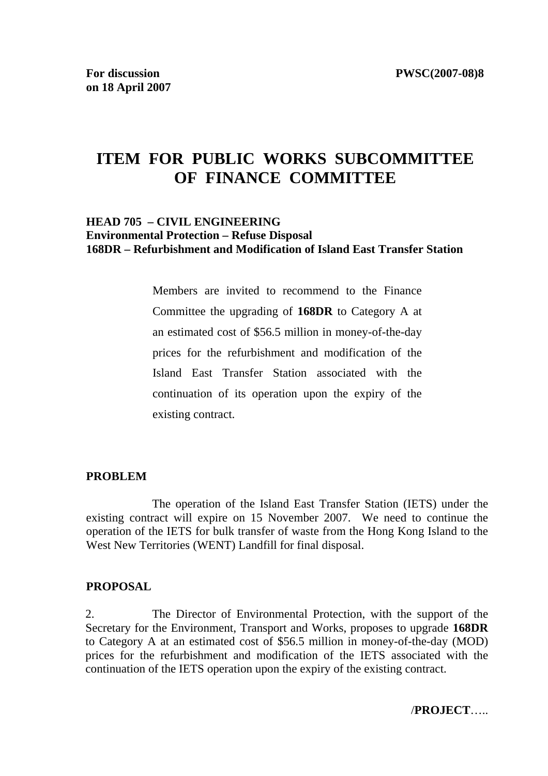# **ITEM FOR PUBLIC WORKS SUBCOMMITTEE OF FINANCE COMMITTEE**

#### **HEAD 705 – CIVIL ENGINEERING Environmental Protection – Refuse Disposal 168DR – Refurbishment and Modification of Island East Transfer Station**

Members are invited to recommend to the Finance Committee the upgrading of **168DR** to Category A at an estimated cost of \$56.5 million in money-of-the-day prices for the refurbishment and modification of the Island East Transfer Station associated with the continuation of its operation upon the expiry of the existing contract.

#### **PROBLEM**

 The operation of the Island East Transfer Station (IETS) under the existing contract will expire on 15 November 2007. We need to continue the operation of the IETS for bulk transfer of waste from the Hong Kong Island to the West New Territories (WENT) Landfill for final disposal.

#### **PROPOSAL**

2. The Director of Environmental Protection, with the support of the Secretary for the Environment, Transport and Works, proposes to upgrade **168DR**  to Category A at an estimated cost of \$56.5 million in money-of-the-day (MOD) prices for the refurbishment and modification of the IETS associated with the continuation of the IETS operation upon the expiry of the existing contract.

/**PROJECT**…..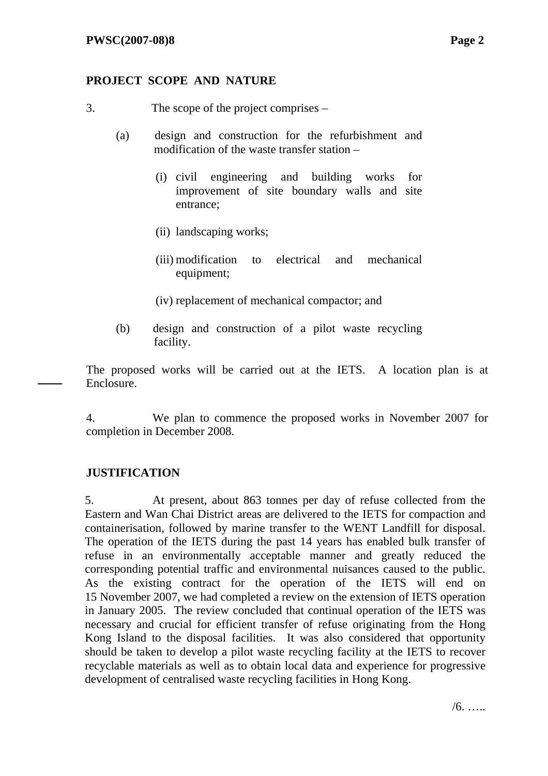### **PROJECT SCOPE AND NATURE**

- 3. The scope of the project comprises
	- (a) design and construction for the refurbishment and modification of the waste transfer station –
		- (i) civil engineering and building works for improvement of site boundary walls and site entrance;
		- (ii) landscaping works;
		- (iii) modification to electrical and mechanical equipment;
		- (iv) replacement of mechanical compactor; and
	- (b) design and construction of a pilot waste recycling facility.

The proposed works will be carried out at the IETS. A location plan is at Enclosure.

4. We plan to commence the proposed works in November 2007 for completion in December 2008.

### **JUSTIFICATION**

5. At present, about 863 tonnes per day of refuse collected from the Eastern and Wan Chai District areas are delivered to the IETS for compaction and containerisation, followed by marine transfer to the WENT Landfill for disposal. The operation of the IETS during the past 14 years has enabled bulk transfer of refuse in an environmentally acceptable manner and greatly reduced the corresponding potential traffic and environmental nuisances caused to the public. As the existing contract for the operation of the IETS will end on 15 November 2007, we had completed a review on the extension of IETS operation in January 2005. The review concluded that continual operation of the IETS was necessary and crucial for efficient transfer of refuse originating from the Hong Kong Island to the disposal facilities. It was also considered that opportunity should be taken to develop a pilot waste recycling facility at the IETS to recover recyclable materials as well as to obtain local data and experience for progressive development of centralised waste recycling facilities in Hong Kong.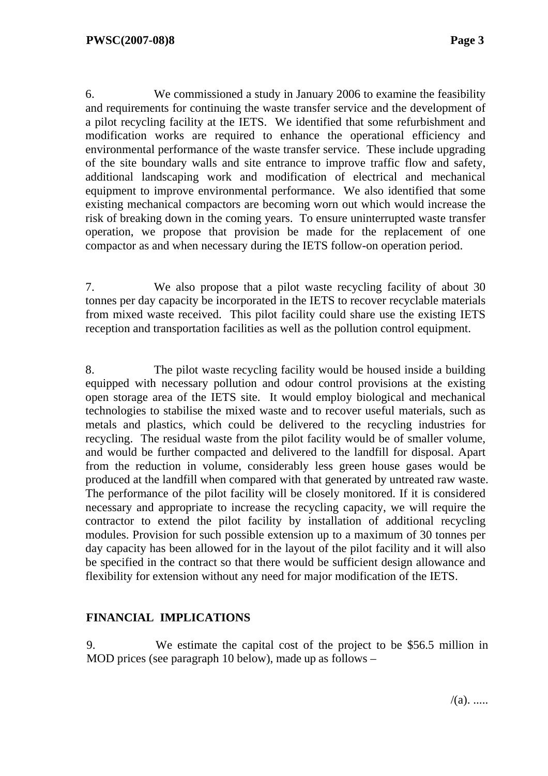6. We commissioned a study in January 2006 to examine the feasibility and requirements for continuing the waste transfer service and the development of a pilot recycling facility at the IETS. We identified that some refurbishment and modification works are required to enhance the operational efficiency and environmental performance of the waste transfer service. These include upgrading of the site boundary walls and site entrance to improve traffic flow and safety, additional landscaping work and modification of electrical and mechanical equipment to improve environmental performance. We also identified that some existing mechanical compactors are becoming worn out which would increase the risk of breaking down in the coming years. To ensure uninterrupted waste transfer operation, we propose that provision be made for the replacement of one compactor as and when necessary during the IETS follow-on operation period.

7. We also propose that a pilot waste recycling facility of about 30 tonnes per day capacity be incorporated in the IETS to recover recyclable materials from mixed waste received. This pilot facility could share use the existing IETS reception and transportation facilities as well as the pollution control equipment.

8. The pilot waste recycling facility would be housed inside a building equipped with necessary pollution and odour control provisions at the existing open storage area of the IETS site. It would employ biological and mechanical technologies to stabilise the mixed waste and to recover useful materials, such as metals and plastics, which could be delivered to the recycling industries for recycling. The residual waste from the pilot facility would be of smaller volume, and would be further compacted and delivered to the landfill for disposal. Apart from the reduction in volume, considerably less green house gases would be produced at the landfill when compared with that generated by untreated raw waste. The performance of the pilot facility will be closely monitored. If it is considered necessary and appropriate to increase the recycling capacity, we will require the contractor to extend the pilot facility by installation of additional recycling modules. Provision for such possible extension up to a maximum of 30 tonnes per day capacity has been allowed for in the layout of the pilot facility and it will also be specified in the contract so that there would be sufficient design allowance and flexibility for extension without any need for major modification of the IETS.

### **FINANCIAL IMPLICATIONS**

9. We estimate the capital cost of the project to be \$56.5 million in MOD prices (see paragraph 10 below), made up as follows –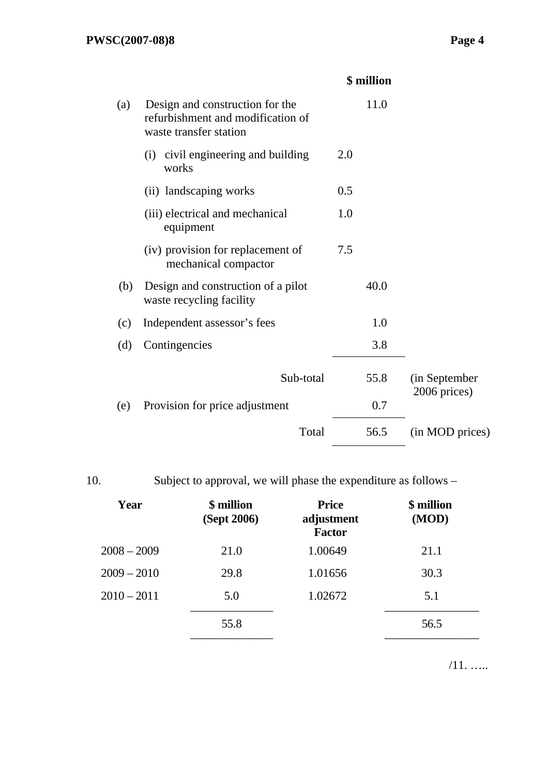|     |                                                                                                |     | \$ million |                               |
|-----|------------------------------------------------------------------------------------------------|-----|------------|-------------------------------|
| (a) | Design and construction for the<br>refurbishment and modification of<br>waste transfer station |     | 11.0       |                               |
|     | (i) civil engineering and building<br>works                                                    | 2.0 |            |                               |
|     | (ii) landscaping works                                                                         | 0.5 |            |                               |
|     | (iii) electrical and mechanical<br>equipment                                                   | 1.0 |            |                               |
|     | (iv) provision for replacement of<br>mechanical compactor                                      | 7.5 |            |                               |
| (b) | Design and construction of a pilot<br>waste recycling facility                                 |     | 40.0       |                               |
| (c) | Independent assessor's fees                                                                    |     | 1.0        |                               |
| (d) | Contingencies                                                                                  |     | 3.8        |                               |
|     | Sub-total                                                                                      |     | 55.8       | (in September<br>2006 prices) |
| (e) | Provision for price adjustment                                                                 |     | 0.7        |                               |
|     | Total                                                                                          |     | 56.5       | (in MOD prices)               |

| ٧ |                    |        |
|---|--------------------|--------|
|   | ×<br>I<br>M.<br>۰, | $\sim$ |

Subject to approval, we will phase the expenditure as follows –

| Year          | \$ million<br>(Sept 2006) | <b>Price</b><br>adjustment<br><b>Factor</b> | \$ million<br>(MOD) |
|---------------|---------------------------|---------------------------------------------|---------------------|
| $2008 - 2009$ | 21.0                      | 1.00649                                     | 21.1                |
| $2009 - 2010$ | 29.8                      | 1.01656                                     | 30.3                |
| $2010 - 2011$ | 5.0                       | 1.02672                                     | 5.1                 |
|               | 55.8                      |                                             | 56.5                |
|               |                           |                                             |                     |

/11. …..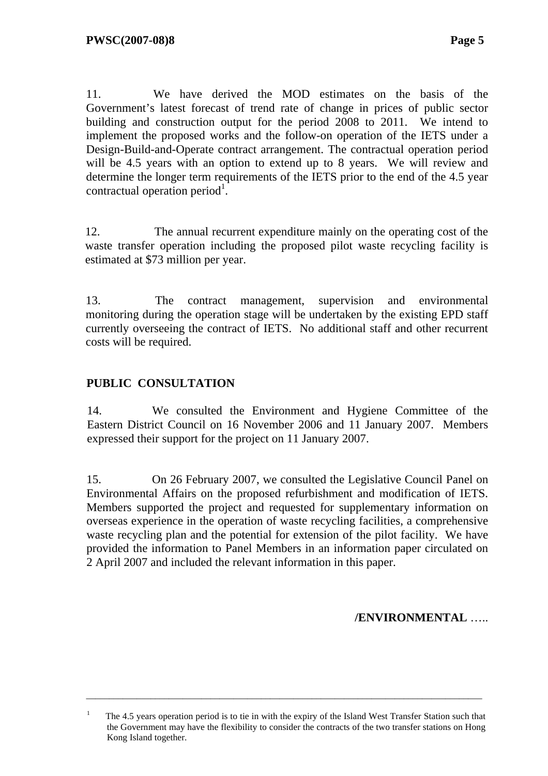11. We have derived the MOD estimates on the basis of the Government's latest forecast of trend rate of change in prices of public sector building and construction output for the period 2008 to 2011. We intend to implement the proposed works and the follow-on operation of the IETS under a Design-Build-and-Operate contract arrangement. The contractual operation period will be 4.5 years with an option to extend up to 8 years. We will review and determine the longer term requirements of the IETS prior to the end of the 4.5 year contractual operation period<sup>1</sup>.

12. The annual recurrent expenditure mainly on the operating cost of the waste transfer operation including the proposed pilot waste recycling facility is estimated at \$73 million per year.

13. The contract management, supervision and environmental monitoring during the operation stage will be undertaken by the existing EPD staff currently overseeing the contract of IETS. No additional staff and other recurrent costs will be required.

## **PUBLIC CONSULTATION**

14. We consulted the Environment and Hygiene Committee of the Eastern District Council on 16 November 2006 and 11 January 2007. Members expressed their support for the project on 11 January 2007.

15. On 26 February 2007, we consulted the Legislative Council Panel on Environmental Affairs on the proposed refurbishment and modification of IETS. Members supported the project and requested for supplementary information on overseas experience in the operation of waste recycling facilities, a comprehensive waste recycling plan and the potential for extension of the pilot facility. We have provided the information to Panel Members in an information paper circulated on 2 April 2007 and included the relevant information in this paper.

### **/ENVIRONMENTAL** …..

\_\_\_\_\_\_\_\_\_\_\_\_\_\_\_\_\_\_\_\_\_\_\_\_\_\_\_\_\_\_\_\_\_\_\_\_\_\_\_\_\_\_\_\_\_\_\_\_\_\_\_\_\_\_\_\_\_\_\_\_\_\_\_\_\_\_\_\_\_\_\_\_\_\_\_\_\_\_\_\_\_\_\_\_\_\_

<sup>&</sup>lt;sup>1</sup> The 4.5 years operation period is to tie in with the expiry of the Island West Transfer Station such that the Government may have the flexibility to consider the contracts of the two transfer stations on Hong Kong Island together.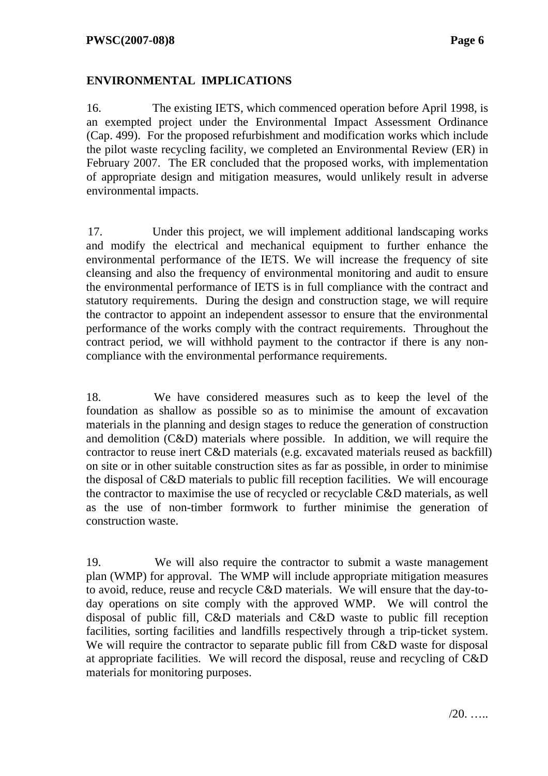## **ENVIRONMENTAL IMPLICATIONS**

16. The existing IETS, which commenced operation before April 1998, is an exempted project under the Environmental Impact Assessment Ordinance (Cap. 499). For the proposed refurbishment and modification works which include the pilot waste recycling facility, we completed an Environmental Review (ER) in February 2007. The ER concluded that the proposed works, with implementation of appropriate design and mitigation measures, would unlikely result in adverse environmental impacts.

17. Under this project, we will implement additional landscaping works and modify the electrical and mechanical equipment to further enhance the environmental performance of the IETS. We will increase the frequency of site cleansing and also the frequency of environmental monitoring and audit to ensure the environmental performance of IETS is in full compliance with the contract and statutory requirements. During the design and construction stage, we will require the contractor to appoint an independent assessor to ensure that the environmental performance of the works comply with the contract requirements. Throughout the contract period, we will withhold payment to the contractor if there is any noncompliance with the environmental performance requirements.

18. We have considered measures such as to keep the level of the foundation as shallow as possible so as to minimise the amount of excavation materials in the planning and design stages to reduce the generation of construction and demolition (C&D) materials where possible. In addition, we will require the contractor to reuse inert C&D materials (e.g. excavated materials reused as backfill) on site or in other suitable construction sites as far as possible, in order to minimise the disposal of C&D materials to public fill reception facilities. We will encourage the contractor to maximise the use of recycled or recyclable C&D materials, as well as the use of non-timber formwork to further minimise the generation of construction waste.

19. We will also require the contractor to submit a waste management plan (WMP) for approval. The WMP will include appropriate mitigation measures to avoid, reduce, reuse and recycle C&D materials. We will ensure that the day-today operations on site comply with the approved WMP. We will control the disposal of public fill, C&D materials and C&D waste to public fill reception facilities, sorting facilities and landfills respectively through a trip-ticket system. We will require the contractor to separate public fill from C&D waste for disposal at appropriate facilities. We will record the disposal, reuse and recycling of C&D materials for monitoring purposes.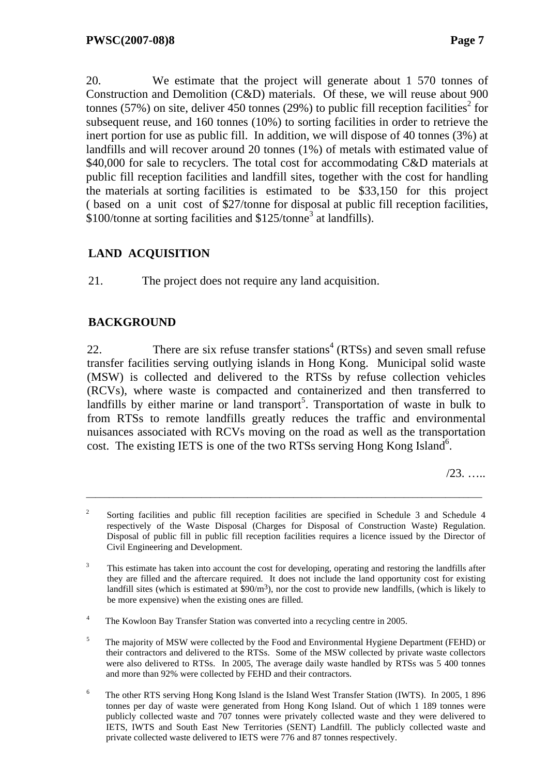20. We estimate that the project will generate about 1 570 tonnes of Construction and Demolition (C&D) materials. Of these, we will reuse about 900 tonnes (57%) on site, deliver 450 tonnes (29%) to public fill reception facilities<sup>2</sup> for subsequent reuse, and 160 tonnes (10%) to sorting facilities in order to retrieve the inert portion for use as public fill. In addition, we will dispose of 40 tonnes (3%) at landfills and will recover around 20 tonnes (1%) of metals with estimated value of \$40,000 for sale to recyclers. The total cost for accommodating C&D materials at public fill reception facilities and landfill sites, together with the cost for handling the materials at sorting facilities is estimated to be \$33,150 for this project ( based on a unit cost of \$27/tonne for disposal at public fill reception facilities, \$100/tonne at sorting facilities and \$125/tonne<sup>3</sup> at landfills).

# **LAND ACQUISITION**

21. The project does not require any land acquisition.

## **BACKGROUND**

22. There are six refuse transfer stations<sup>4</sup> (RTSs) and seven small refuse transfer facilities serving outlying islands in Hong Kong. Municipal solid waste (MSW) is collected and delivered to the RTSs by refuse collection vehicles (RCVs), where waste is compacted and containerized and then transferred to landfills by either marine or land transport<sup>5</sup>. Transportation of waste in bulk to from RTSs to remote landfills greatly reduces the traffic and environmental nuisances associated with RCVs moving on the road as well as the transportation cost. The existing IETS is one of the two RTSs serving Hong Kong Island<sup>6</sup>.

/23. …..

\_\_\_\_\_\_\_\_\_\_\_\_\_\_\_\_\_\_\_\_\_\_\_\_\_\_\_\_\_\_\_\_\_\_\_\_\_\_\_\_\_\_\_\_\_\_\_\_\_\_\_\_\_\_\_\_\_\_\_\_\_\_\_\_\_\_\_\_\_\_\_\_\_\_\_\_\_\_\_\_\_\_\_\_\_\_

<sup>&</sup>lt;sup>2</sup> Sorting facilities and public fill reception facilities are specified in Schedule 3 and Schedule 4 respectively of the Waste Disposal (Charges for Disposal of Construction Waste) Regulation. Disposal of public fill in public fill reception facilities requires a licence issued by the Director of Civil Engineering and Development.

<sup>3</sup> This estimate has taken into account the cost for developing, operating and restoring the landfills after they are filled and the aftercare required. It does not include the land opportunity cost for existing landfill sites (which is estimated at  $$90/m<sup>3</sup>$ ), nor the cost to provide new landfills, (which is likely to be more expensive) when the existing ones are filled.

<sup>4</sup> The Kowloon Bay Transfer Station was converted into a recycling centre in 2005.

<sup>5</sup> The majority of MSW were collected by the Food and Environmental Hygiene Department (FEHD) or their contractors and delivered to the RTSs. Some of the MSW collected by private waste collectors were also delivered to RTSs. In 2005, The average daily waste handled by RTSs was 5 400 tonnes and more than 92% were collected by FEHD and their contractors.

<sup>6</sup> The other RTS serving Hong Kong Island is the Island West Transfer Station (IWTS). In 2005, 1 896 tonnes per day of waste were generated from Hong Kong Island. Out of which 1 189 tonnes were publicly collected waste and 707 tonnes were privately collected waste and they were delivered to IETS, IWTS and South East New Territories (SENT) Landfill. The publicly collected waste and private collected waste delivered to IETS were 776 and 87 tonnes respectively.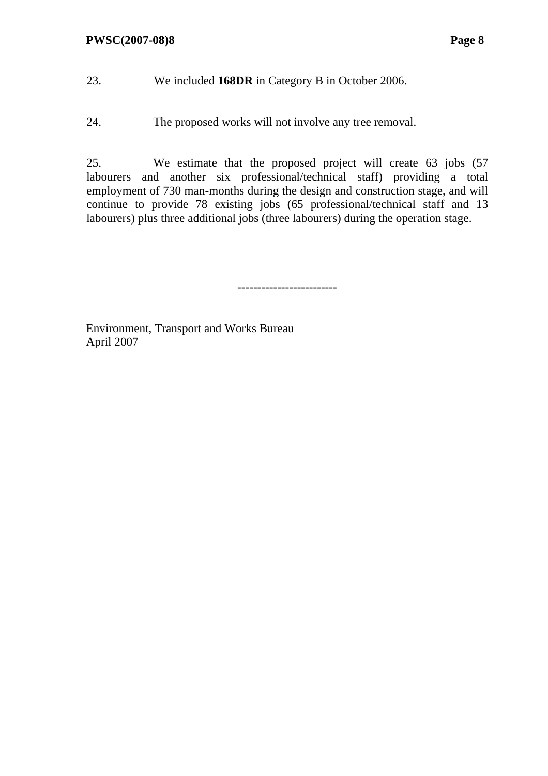- 23. We included **168DR** in Category B in October 2006.
- 24. The proposed works will not involve any tree removal.

25. We estimate that the proposed project will create 63 jobs (57 labourers and another six professional/technical staff) providing a total employment of 730 man-months during the design and construction stage, and will continue to provide 78 existing jobs (65 professional/technical staff and 13 labourers) plus three additional jobs (three labourers) during the operation stage.

-------------------------

Environment, Transport and Works Bureau April 2007